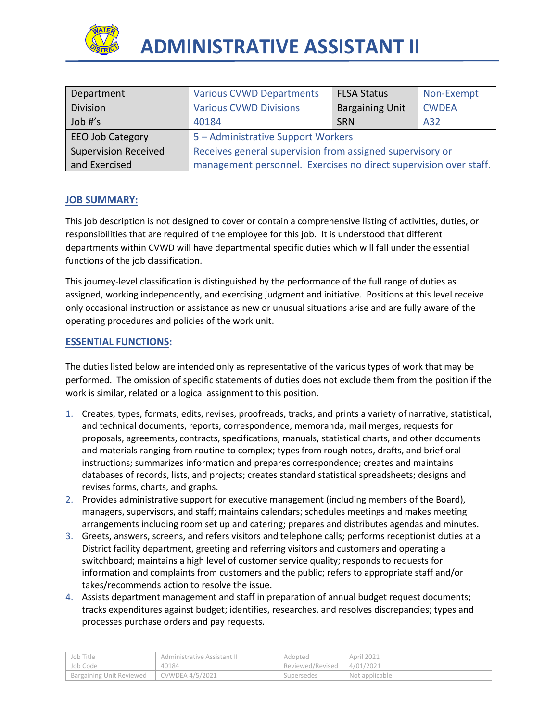

| Department                  | <b>Various CVWD Departments</b>                                   | <b>FLSA Status</b>     | Non-Exempt   |
|-----------------------------|-------------------------------------------------------------------|------------------------|--------------|
| Division                    | <b>Various CVWD Divisions</b>                                     | <b>Bargaining Unit</b> | <b>CWDEA</b> |
| Job #'s                     | 40184                                                             | <b>SRN</b>             | A32          |
| <b>EEO Job Category</b>     | 5 - Administrative Support Workers                                |                        |              |
| <b>Supervision Received</b> | Receives general supervision from assigned supervisory or         |                        |              |
| and Exercised               | management personnel. Exercises no direct supervision over staff. |                        |              |

# **JOB SUMMARY:**

This job description is not designed to cover or contain a comprehensive listing of activities, duties, or responsibilities that are required of the employee for this job. It is understood that different departments within CVWD will have departmental specific duties which will fall under the essential functions of the job classification.

This journey-level classification is distinguished by the performance of the full range of duties as assigned, working independently, and exercising judgment and initiative. Positions at this level receive only occasional instruction or assistance as new or unusual situations arise and are fully aware of the operating procedures and policies of the work unit.

## **ESSENTIAL FUNCTIONS:**

The duties listed below are intended only as representative of the various types of work that may be performed. The omission of specific statements of duties does not exclude them from the position if the work is similar, related or a logical assignment to this position.

- 1. Creates, types, formats, edits, revises, proofreads, tracks, and prints a variety of narrative, statistical, and technical documents, reports, correspondence, memoranda, mail merges, requests for proposals, agreements, contracts, specifications, manuals, statistical charts, and other documents and materials ranging from routine to complex; types from rough notes, drafts, and brief oral instructions; summarizes information and prepares correspondence; creates and maintains databases of records, lists, and projects; creates standard statistical spreadsheets; designs and revises forms, charts, and graphs.
- 2. Provides administrative support for executive management (including members of the Board), managers, supervisors, and staff; maintains calendars; schedules meetings and makes meeting arrangements including room set up and catering; prepares and distributes agendas and minutes.
- 3. Greets, answers, screens, and refers visitors and telephone calls; performs receptionist duties at a District facility department, greeting and referring visitors and customers and operating a switchboard; maintains a high level of customer service quality; responds to requests for information and complaints from customers and the public; refers to appropriate staff and/or takes/recommends action to resolve the issue.
- 4. Assists department management and staff in preparation of annual budget request documents; tracks expenditures against budget; identifies, researches, and resolves discrepancies; types and processes purchase orders and pay requests.

| ' Job Title                                | Administrative Assistant II | Adopted          | April 2021     |
|--------------------------------------------|-----------------------------|------------------|----------------|
| Job Code                                   | 40184                       | Reviewed/Revised | 14/01/2021     |
| Bargaining Unit Reviewed   CVWDEA 4/5/2021 |                             | Supersedes       | Not applicable |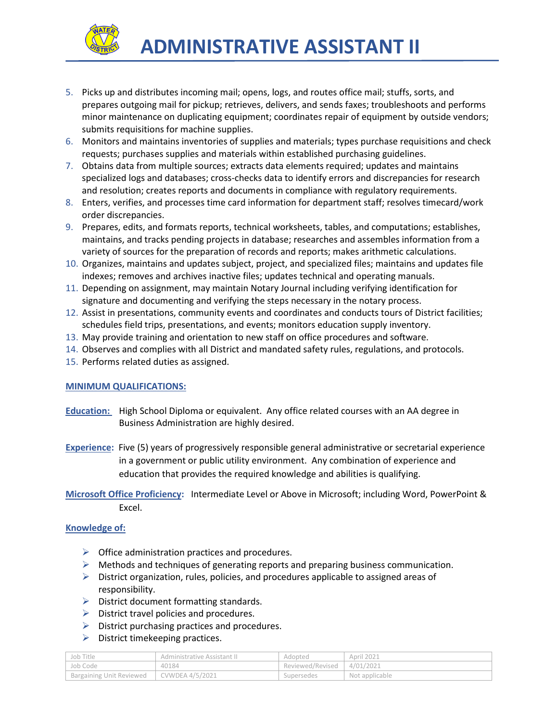

- 5. Picks up and distributes incoming mail; opens, logs, and routes office mail; stuffs, sorts, and prepares outgoing mail for pickup; retrieves, delivers, and sends faxes; troubleshoots and performs minor maintenance on duplicating equipment; coordinates repair of equipment by outside vendors; submits requisitions for machine supplies.
- 6. Monitors and maintains inventories of supplies and materials; types purchase requisitions and check requests; purchases supplies and materials within established purchasing guidelines.
- 7. Obtains data from multiple sources; extracts data elements required; updates and maintains specialized logs and databases; cross-checks data to identify errors and discrepancies for research and resolution; creates reports and documents in compliance with regulatory requirements.
- 8. Enters, verifies, and processes time card information for department staff; resolves timecard/work order discrepancies.
- 9. Prepares, edits, and formats reports, technical worksheets, tables, and computations; establishes, maintains, and tracks pending projects in database; researches and assembles information from a variety of sources for the preparation of records and reports; makes arithmetic calculations.
- 10. Organizes, maintains and updates subject, project, and specialized files; maintains and updates file indexes; removes and archives inactive files; updates technical and operating manuals.
- 11. Depending on assignment, may maintain Notary Journal including verifying identification for signature and documenting and verifying the steps necessary in the notary process.
- 12. Assist in presentations, community events and coordinates and conducts tours of District facilities; schedules field trips, presentations, and events; monitors education supply inventory.
- 13. May provide training and orientation to new staff on office procedures and software.
- 14. Observes and complies with all District and mandated safety rules, regulations, and protocols.
- 15. Performs related duties as assigned.

#### **MINIMUM QUALIFICATIONS:**

- **Education:** High School Diploma or equivalent. Any office related courses with an AA degree in Business Administration are highly desired.
- **Experience:** Five (5) years of progressively responsible general administrative or secretarial experience in a government or public utility environment. Any combination of experience and education that provides the required knowledge and abilities is qualifying.

**Microsoft Office Proficiency:** Intermediate Level or Above in Microsoft; including Word, PowerPoint & Excel.

#### **Knowledge of:**

- $\triangleright$  Office administration practices and procedures.
- $\triangleright$  Methods and techniques of generating reports and preparing business communication.
- $\triangleright$  District organization, rules, policies, and procedures applicable to assigned areas of responsibility.
- $\triangleright$  District document formatting standards.
- $\triangleright$  District travel policies and procedures.
- $\triangleright$  District purchasing practices and procedures.
- $\triangleright$  District timekeeping practices.

| Job Title                | Administrative Assistant II | Adopted                      | April 2021     |
|--------------------------|-----------------------------|------------------------------|----------------|
| Job Code                 | 40184                       | Reviewed/Revised   4/01/2021 |                |
| Bargaining Unit Reviewed | CVWDEA 4/5/2021             | Supersedes                   | Not applicable |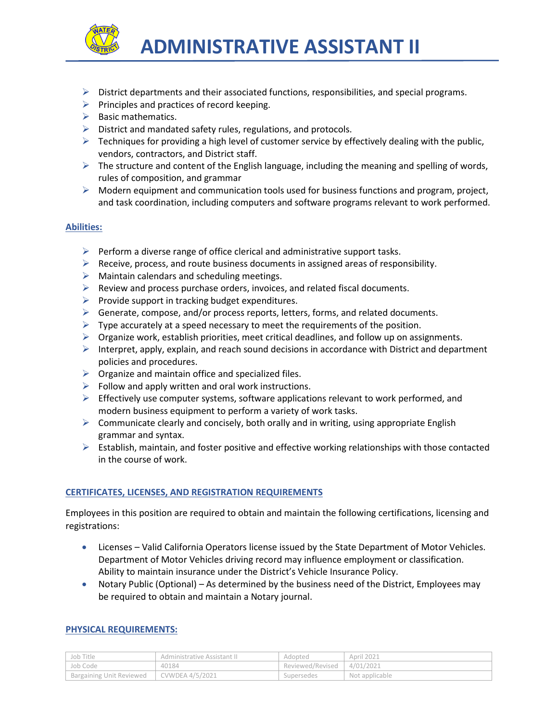

- $\triangleright$  District departments and their associated functions, responsibilities, and special programs.
- $\triangleright$  Principles and practices of record keeping.
- $\triangleright$  Basic mathematics.
- $\triangleright$  District and mandated safety rules, regulations, and protocols.
- $\triangleright$  Techniques for providing a high level of customer service by effectively dealing with the public, vendors, contractors, and District staff.
- $\triangleright$  The structure and content of the English language, including the meaning and spelling of words, rules of composition, and grammar
- $\triangleright$  Modern equipment and communication tools used for business functions and program, project, and task coordination, including computers and software programs relevant to work performed.

## **Abilities:**

- $\triangleright$  Perform a diverse range of office clerical and administrative support tasks.
- $\triangleright$  Receive, process, and route business documents in assigned areas of responsibility.
- $\triangleright$  Maintain calendars and scheduling meetings.
- $\triangleright$  Review and process purchase orders, invoices, and related fiscal documents.
- $\triangleright$  Provide support in tracking budget expenditures.
- $\triangleright$  Generate, compose, and/or process reports, letters, forms, and related documents.
- $\triangleright$  Type accurately at a speed necessary to meet the requirements of the position.
- $\triangleright$  Organize work, establish priorities, meet critical deadlines, and follow up on assignments.
- $\triangleright$  Interpret, apply, explain, and reach sound decisions in accordance with District and department policies and procedures.
- $\triangleright$  Organize and maintain office and specialized files.
- $\triangleright$  Follow and apply written and oral work instructions.
- $\triangleright$  Effectively use computer systems, software applications relevant to work performed, and modern business equipment to perform a variety of work tasks.
- $\triangleright$  Communicate clearly and concisely, both orally and in writing, using appropriate English grammar and syntax.
- $\triangleright$  Establish, maintain, and foster positive and effective working relationships with those contacted in the course of work.

## **CERTIFICATES, LICENSES, AND REGISTRATION REQUIREMENTS**

Employees in this position are required to obtain and maintain the following certifications, licensing and registrations:

- Licenses Valid California Operators license issued by the State Department of Motor Vehicles. Department of Motor Vehicles driving record may influence employment or classification. Ability to maintain insurance under the District's Vehicle Insurance Policy.
- Notary Public (Optional) As determined by the business need of the District, Employees may be required to obtain and maintain a Notary journal.

## **PHYSICAL REQUIREMENTS:**

| Job Title                | Administrative Assistant II | Adopted          | April 2021     |
|--------------------------|-----------------------------|------------------|----------------|
| Job Code                 | 40184                       | Reviewed/Revised | 4/01/2021      |
| Bargaining Unit Reviewed | CVWDEA $4/5/2021$           | Supersedes       | Not applicable |